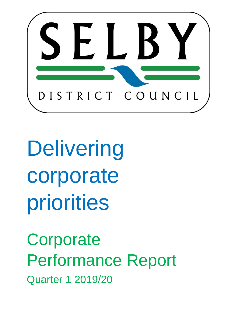

Delivering corporate priorities

**Corporate** Performance Report Quarter 1 2019/20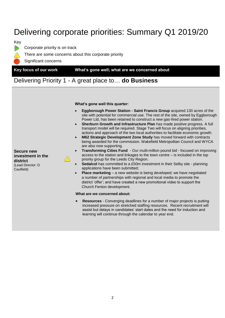## Delivering corporate priorities: Summary Q1 2019/20



Corporate priority is on track



Significant concerns

**Key focus of our work What's gone well; what are we concerned about**

### Delivering Priority 1 - A great place to… **do Business**

**What's gone well this quarter:**

- **Eggborough Power Station - Saint Francis Group** acquired 130 acres of the site with potential for commercial use. The rest of the site, owned by Eggborough Power Ltd, has been retained to construct a new gas-fired power station.
- **Sherburn Growth and Infrastructure Plan** has made positive progress. A full transport model will be required. Stage Two will focus on aligning priorities, actions and approach of the two local authorities to facilitate economic growth.
- **M62 Strategic Development Zone Study** has moved forward with contracts being awarded for the commission. Wakefield Metropolitan Council and WYCA are also now supporting.
- **Transforming Cities Fund** Our multi-million pound bid focused on improving access to the station and linkages to the town centre – is included in the top priority group for the Leeds City Region.
- **Sedalcol** has committed to a £50m investment in their Selby site planning applications have been submitted;
- **Place marketing** a new website is being developed; we have negotiated a number of partnerships with regional and local media to promote the district 'offer'; and have created a new promotional video to support the Church Fenton development.

### **What are we concerned about:**

 **Resources** - Converging deadlines for a number of major projects is putting increased pressure on stretched staffing resources. Recent recruitment will assist but delays in candidates' start dates and the need for induction and learning will continue through the calendar to year end.

**Secure new investment in the district** (Lead Director: D Caulfield)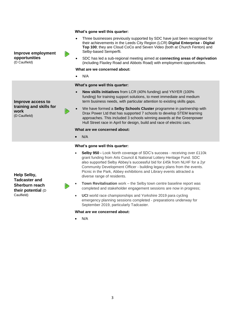### **What's gone well this quarter:**

- Three businesses previously supported by SDC have just been recognised for their achievements in the Leeds City Region (LCR) **Digital Enterprise - Digital Top 100**; they are Cloud CoCo and Seven Video (both at Church Fenton) and Selby-based Semperfli.
- SDC has led a sub-regional meeting aimed at **connecting areas of deprivation** (including Flaxley Road and Abbots Road) with employment opportunities.

### **What are we concerned about:**

N/A

### **What's gone well this quarter:**

- **New skills initiatives** from LCR (40% funding) and YNYER (100% funding) for training support solutions, to meet immediate and medium term business needs, with particular attention to existing skills gaps.
- We have formed a **Selby Schools Cluster** programme in partnership with Drax Power Ltd that has supported 7 schools to develop STEM learning approaches. This included 3 schools winning awards at the Greenpower Hull Street race in April for design, build and race of electric cars.

#### **What are we concerned about:**

N/A

#### **What's gone well this quarter:**

- **Selby 950 -** Look North coverage of SDC's success receiving over £110k grant funding from Arts Council & National Lottery Heritage Fund. SDC also supported Selby Abbey's successful bid for £45k from NLHF for a 2yr Community Development Officer - building legacy plans from the events. Picnic in the Park, Abbey exhibitions and Library events attracted a diverse range of residents.
- **Town Revitalisation** work the Selby town centre baseline report was completed and stakeholder engagement sessions are now in progress;
- **UCI** world race championships and Yorkshire 2019 para cycling emergency planning sessions completed - preparations underway for September 2019, particularly Tadcaster.

### **What are we concerned about:**

N/A

**Help Selby, Tadcaster and Sherburn reach their potential** (D Caulfield)



**Improve employment opportunities** (D Caulfield)

**Improve access to training and skills for** 

**work** (D Caulfield)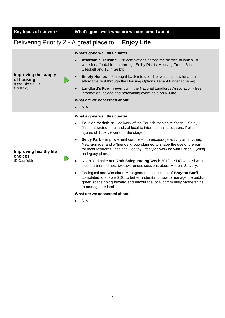**Improving the supply** 

**of housing** (Lead Director: D Caulfield)

**Key focus of our work What's gone well; what are we concerned about**

### Delivering Priority 2 - A great place to… **Enjoy Life**

### **What's gone well this quarter:**

- **Affordable Housing**  28 completions across the district, of which 18 were for affordable rent through Selby District Housing Trust - 6 in Ulleskelf and 12 in Selby;
- **Empty Homes**  7 brought back into use, 1 of which is now let at an affordable rent through the Housing Options Tenant Finder scheme;
- **Landlord's Forum event** with the National Landlords Association free information, advice and networking event held on 6 June.

### **What are we concerned about:**

N/A

### **What's gone well this quarter:**

- **Tour de Yorkshire** delivery of the Tour de Yorkshire Stage 1 Selby finish, attracted thousands of local to international spectators. Police figures of 160k viewers for the stage;
- **Selby Park** improvement completed to encourage activity and cycling. New signage, and a 'friends' group planned to shape the use of the park for local residents. Inspiring Healthy Lifestyles working with British Cycling on legacy plans;
- North Yorkshire and York **Safeguarding** Week 2019 SDC worked with local partners to host two awareness sessions about Modern Slavery;
- Ecological and Woodland Management assessment of **Brayton Barff** completed to enable SDC to better understand how to manage the public green space going forward and encourage local communitiy partnerships to manage the land.

### **What are we concerned about:**

N/A

### **Improving healthy life choices** (D Caulfield)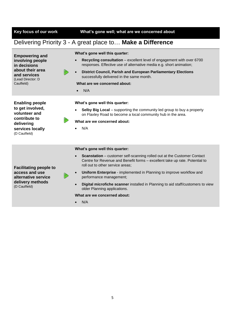**Key focus of our work What's gone well; what are we concerned about**

### Delivering Priority 3 - A great place to… **Make a Difference**

| <b>Empowering and</b><br>involving people<br>in decisions                                                                                               |                                                                                                                                                               | What's gone well this quarter:                                                                                                                                                                                  |  |  |  |  |  |
|---------------------------------------------------------------------------------------------------------------------------------------------------------|---------------------------------------------------------------------------------------------------------------------------------------------------------------|-----------------------------------------------------------------------------------------------------------------------------------------------------------------------------------------------------------------|--|--|--|--|--|
|                                                                                                                                                         |                                                                                                                                                               | Recycling consultation – excellent level of engagement with over 6700<br>$\bullet$<br>responses. Effective use of alternative media e.g. short animation;                                                       |  |  |  |  |  |
| about their area<br>and services                                                                                                                        |                                                                                                                                                               | <b>District Council, Parish and European Parliamentary Elections</b><br>$\bullet$<br>successfully delivered in the same month.                                                                                  |  |  |  |  |  |
| Caulfield)                                                                                                                                              |                                                                                                                                                               | What are we concerned about:                                                                                                                                                                                    |  |  |  |  |  |
|                                                                                                                                                         |                                                                                                                                                               | N/A<br>$\bullet$                                                                                                                                                                                                |  |  |  |  |  |
| <b>Enabling people</b><br>to get involved,<br>volunteer and<br>contribute to<br>delivering<br>services locally<br>(D Caulfield)                         |                                                                                                                                                               | What's gone well this quarter:<br>Selby Big Local – supporting the community led group to buy a property<br>on Flaxley Road to become a local community hub in the area.<br>What are we concerned about:<br>N/A |  |  |  |  |  |
|                                                                                                                                                         |                                                                                                                                                               |                                                                                                                                                                                                                 |  |  |  |  |  |
| (Lead Director: D<br>What's gone well this quarter:<br>$\bullet$<br>roll out to other service areas;<br><b>Facilitating people to</b><br>access and use | <b>Scanstation</b> – customer self-scanning rolled out at the Customer Contact<br>Centre for Revenue and Benefit forms - excellent take up rate. Potential to |                                                                                                                                                                                                                 |  |  |  |  |  |
|                                                                                                                                                         |                                                                                                                                                               | Uniform Enterprise - implemented in Planning to improve workflow and                                                                                                                                            |  |  |  |  |  |

**access and use alternative service delivery methods** (D Caulfield)



- **Uniform Enterprise**  implemented in Planning to improve workflow and performance management;
- **Digital microfiche scanner** installed in Planning to aid staff/customers to view older Planning applications.

### **What are we concerned about:**

 $\bullet$  N/A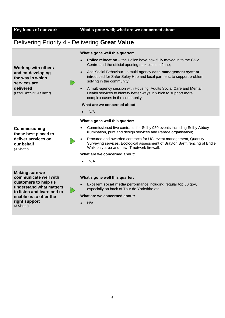### **Key focus of our work What's gone well; what are we concerned about**

### Delivering Priority 4 - Delivering **Great Value**



**Commissioning those best placed to deliver services on** 

**our behalf** (J Slatter)



### **What's gone well this quarter:**

- **Police relocation** the Police have now fully moved in to the Civic Centre and the official opening took place in June;
- Anti-Social Behaviour a multi-agency **case management system** introduced for Safer Selby Hub and local partners, to support problem solving in the community;
- A multi-agency session with Housing, Adults Social Care and Mental Health services to identify better ways in which to support more complex cases in the community.

### **What are we concerned about:**

N/A

### **What's gone well this quarter:**

- Commissioned five contracts for Selby 950 events including Selby Abbey illumination, print and design services and Parade organisation;
- Procured and awarded contracts for UCI event management, Quantity Surveying services, Ecological assessment of Brayton Barff, fencing of Bridle Walk play area and new IT network firewall.

### **What are we concerned about:**

N/A

**Making sure we communicate well with customers to help us understand what matters, to listen and learn and to enable us to offer the right support**  (J Slatter)

#### **What's gone well this quarter:**

 Excellent **social media** performance including regular top 50 gov, especially on back of Tour de Yorkshire etc.

### **What are we concerned about:**

N/A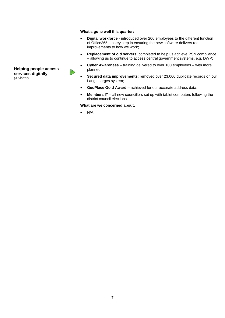### **What's gone well this quarter:**

- **Digital workforce**  introduced over 200 employees to the different function of Office365 – a key step in ensuring the new software delivers real improvements to how we work;
- **Replacement of old servers** completed to help us achieve PSN compliance – allowing us to continue to access central government systems, e.g. DWP;
- **Cyber Awareness**  training delivered to over 100 employees with more planned;
- **Secured data improvements**: removed over 23,000 duplicate records on our Lang charges system;
- **GeoPlace Gold Award**  achieved for our accurate address data.
- **Members IT**  all new councillors set up with tablet computers following the district council elections

**What are we concerned about:**

N/A

### **Helping people access services digitally** (J Slatter)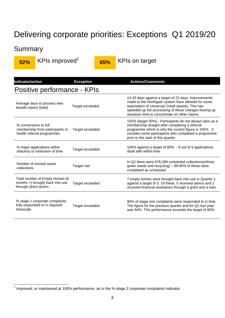## Delivering corporate priorities: Exceptions Q1 2019/20

## **Summary**



**52%** KPIs improved<sup>1</sup>

**65%** KPIs on target

| Indicator/action                                                                           | <b>Exception</b> | <b>Actions/Comments</b>                                                                                                                                                                                                                                                 |  |  |  |  |  |  |  |
|--------------------------------------------------------------------------------------------|------------------|-------------------------------------------------------------------------------------------------------------------------------------------------------------------------------------------------------------------------------------------------------------------------|--|--|--|--|--|--|--|
| Positive performance - KPIs                                                                |                  |                                                                                                                                                                                                                                                                         |  |  |  |  |  |  |  |
| Average days to process new<br>benefit claims (total)                                      | Target exceeded  | 14.33 days against a target of 22 days. Improvements<br>made to the Northgate system have allowed for some<br>automation of Universal Credit awards. This has<br>speeded up the processing of these changes freeing up<br>assessor time to concentrate on other claims. |  |  |  |  |  |  |  |
| % conversions to full<br>membership from participants in<br>health referral programmes     | Target exceeded  | 155% (target 30%) - Participants do not always take up a<br>membership straight after completing a referral<br>programme which is why the current figure is 155%. It<br>includes some participants who completed a programme<br>prior to the start of this quarter.     |  |  |  |  |  |  |  |
| % major applications within<br>statutory or extension of time                              | Target exceeded  | 100% against a target of 60% - 9 out of 9 applications<br>dealt with within time                                                                                                                                                                                        |  |  |  |  |  |  |  |
| Number of missed waste<br>collections                                                      | Target met       | In Q1 there were 676,288 scheduled collections (refuse,<br>green waste and recycling) - 99.96% of these were<br>completed as scheduled                                                                                                                                  |  |  |  |  |  |  |  |
| Total number of Empty Homes (6<br>months +) brought back into use<br>through direct action | Target exceeded  | 7 empty homes were brought back into use in Quarter 1,<br>against a target of 5. Of these, 5 received advice and 2<br>received financial assistance through a grant and a loan.                                                                                         |  |  |  |  |  |  |  |
| % stage 1 corporate complaints<br>fully responded to in required<br>timescale              | Target exceeded  | 96% of stage one complaints were responded to in time.<br>The figure for the previous quarter and for Q1 last year<br>was 94%. This performance exceeds the target of 90%.                                                                                              |  |  |  |  |  |  |  |

 1 Improved, or maintained at 100% performance, as in the % stage 2 corporate complaints indicator.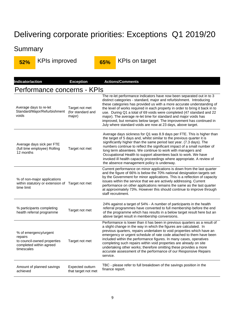# Delivering corporate priorities: Exceptions Q1 2019/20

## **Summary**

**52%** KPIs improved **65%** KPIs on target

| Indicator/action                                                                                         | <b>Exception</b>                              | <b>Actions/Comments</b>                                                                                                                                                                                                                                                                                                                                                                                                                                                                                                                                                                            |  |  |  |  |  |  |  |
|----------------------------------------------------------------------------------------------------------|-----------------------------------------------|----------------------------------------------------------------------------------------------------------------------------------------------------------------------------------------------------------------------------------------------------------------------------------------------------------------------------------------------------------------------------------------------------------------------------------------------------------------------------------------------------------------------------------------------------------------------------------------------------|--|--|--|--|--|--|--|
| Performance concerns - KPIs                                                                              |                                               |                                                                                                                                                                                                                                                                                                                                                                                                                                                                                                                                                                                                    |  |  |  |  |  |  |  |
| Average days to re-let<br>Standard/Major/Refurbishment<br>voids                                          | Target not met<br>(for standard and<br>major) | The re-let performance indicators have now been separated out in to 3<br>distinct categories - standard, major and refurbishment. Introducing<br>these categories has provided us with a more accurate understanding of<br>the level of works required in each property in order to bring it back in to<br>use. During Q1 a total of 69 voids were completed (47 standard and 22<br>major). The average re-let time for standard and major voids has<br>improved, but remains below target. The improvement has continued in<br>July where standard voids are now at 23 days, above target.        |  |  |  |  |  |  |  |
| Average days sick per FTE<br>(full time employee) Rolling<br>12 months                                   | Target not met                                | Average days sickness for Q1 was 8.9 days per FTE. This is higher than<br>the target of 5 days and, whilst similar to the previous quarter it is<br>significantly higher than the same period last year. (7.3 days). The<br>numbers continue to reflect the significant impact of a small number of<br>long term absentees. We continue to work with managers and<br>Occupational Health to support absentees back to work. We have<br>invoked ill health capacity proceedings where appropriate. A review of<br>the absence management policy is underway.                                        |  |  |  |  |  |  |  |
| % of non-major applications<br>within statutory or extension of Target not met<br>time limit             |                                               | Current performance on minor applications is down from the last quarter<br>and the figure of 66% is below the 70% national designation targets set<br>by the Government for minor applications. This is a reflection of capacity<br>issues within the service that we are actively addressing. Current<br>performance on other applications remains the same as the last quarter<br>at approximately 73%. However this should continue to improve through<br>staff recruitment.                                                                                                                    |  |  |  |  |  |  |  |
| % participants completing<br>health referral programme                                                   | Target not met                                | 24% against a target of 54% - A number of participants in the health<br>referral programmes have converted to full membership before the end<br>of the programme which has results in a below target result here but an<br>above target result in membership conversions.                                                                                                                                                                                                                                                                                                                          |  |  |  |  |  |  |  |
| % of emergency/urgent<br>repairs<br>to council-owned properties<br>completed within agreed<br>timescales | Target not met                                | Performance is lower than it has been in previous quarters as a result of<br>a slight change in the way in which the figures are calculated. In<br>previous quarters, repairs undertaken to void properties which have an<br>emergency or urgent schedule of rate code attached to them have been<br>included within the performance figures. In many cases, operatives<br>completing such repairs within void properties are already on site<br>undertaking other works; therefore omitting these provides a more<br>accurate assessment of the performance of our Responsive Repairs<br>service. |  |  |  |  |  |  |  |
| Amount of planned savings<br>achieved                                                                    | Expected outturn<br>that target not met       | TBC - please refer to full breakdown of the savings position in the<br>finance report.                                                                                                                                                                                                                                                                                                                                                                                                                                                                                                             |  |  |  |  |  |  |  |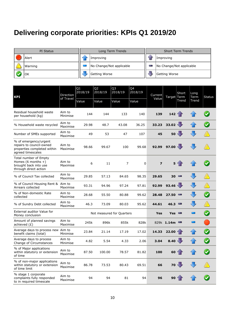## **Delivering corporate priorities: KPIs Q1 2019/20**

| PI Status | Long Term Trends         | <b>Short Term Trends</b> |  |  |  |
|-----------|--------------------------|--------------------------|--|--|--|
| Alert     | Improving                | Improving                |  |  |  |
| Warning   | No Change/Not applicable | No Change/Not applicable |  |  |  |
| 'OK       | Getting Worse            | Getting Worse            |  |  |  |

| <b>KPI</b>                                                                                            | Direction<br>of Travel | Q1<br>2018/19 | Q <sub>2</sub><br>2018/19 | Q <sub>3</sub><br>2018/19 | Q4<br>2018/19 | Current<br>Value | Target Term      | Short               | Long<br>Term<br>Trend | <b>Status</b> |
|-------------------------------------------------------------------------------------------------------|------------------------|---------------|---------------------------|---------------------------|---------------|------------------|------------------|---------------------|-----------------------|---------------|
|                                                                                                       |                        | Value         | Value                     | Value                     | Value         |                  |                  | Trend               |                       |               |
| Residual household waste<br>per household (kg)                                                        | Aim to<br>Minimise     | 144           | 144                       | 133                       | 140           | 139              | 142              |                     |                       |               |
| % Household waste recycled                                                                            | Aim to<br>Maximise     | 29.98         | 48.7                      | 43.08                     | 36.25         | 33.23            | 33.02            |                     |                       |               |
| Number of SMEs supported                                                                              | Aim to<br>Maximise     | 49            | 53                        | 47                        | 107           | 45               | 50               |                     |                       |               |
| % of emergency/urgent<br>repairs to council-owned<br>properties completed within<br>agreed timescales | Aim to<br>Maximise     | 98.66         | 99.67                     | 100                       | 99.68         | 92.99            | 97.00            |                     |                       |               |
| Total number of Empty<br>Homes $(6$ months $+)$<br>brought back into use<br>through direct action     | Aim to<br>Maximise     | 6             | 11                        | 7                         | $\mathbf 0$   | $\overline{z}$   | 5                |                     |                       |               |
| % of Council Tax collected                                                                            | Aim to<br>Maximise     | 29.85         | 57.13                     | 84.65                     | 98.35         | 29.65            | 30               | <b>COLLEGE</b>      |                       |               |
| % of Council Housing Rent & Aim to<br>Arrears collected                                               | Maximise               | 93.31         | 94.96                     | 97.24                     | 97.81         | 92.99            | 93.46 $\sqrt{ }$ |                     |                       |               |
| % of Non-domestic Rate<br>collected                                                                   | Aim to<br>Maximise     | 28.68         | 55.50                     | 80.88                     | 99.62         | 28.48            | 27.50            | P.                  |                       |               |
| % of Sundry Debt collected                                                                            | Aim to<br>Maximise     | 46.3          | 73.09                     | 80.03                     | 95.62         | 44.61            | 46.3             | Posts.              |                       |               |
| <b>External auditor Value for</b><br>Money conclusion                                                 |                        |               |                           | Not measured for Quarters |               | Yes              | Yes              | <b>The Contract</b> |                       |               |
| Amount of planned savings<br>achieved $(E)$                                                           | Aim to<br>Maximise     | 245k          | 896k                      | 855k                      | 828k          |                  | 829k 1.14m       | <b>The Contract</b> |                       |               |
| Average days to process new Aim to<br>benefit claims (total)                                          | Minimise               | 23.84         | 21.14                     | 17.19                     | 17.02         | 14.33            | 22.00            |                     |                       |               |
| Average days to process<br>Change of Circumstances                                                    | Aim to<br>Minimise     | 4.82          | 5.54                      | 4.33                      | 2.06          | 3.04             | 8.40             |                     |                       |               |
| % of Major applications<br>within statutory or extension<br>of time                                   | Aim to<br>Maximise     | 87.50         | 100.00                    | 78.57                     | 81.82         | 100              | 60               |                     |                       |               |
| % of non-major applications<br>within statutory or extension<br>of time limit                         | Aim to<br>Maximise     | 86.78         | 73.53                     | 80.43                     | 69.51         | 66               | $70 -$           |                     |                       |               |
| % stage 1 corporate<br>complaints fully responded<br>to in required timescale                         | Aim to<br>Maximise     | 94            | 94                        | 81                        | 94            | 96               | 90               |                     |                       |               |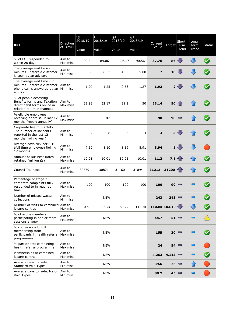| <b>KPI</b>                                                                                                           | Direction<br>of Travel | Q1<br>2018/19 | Q <sub>2</sub><br>2018/19 | Q3<br>2018/19 | Q4<br>2018/19  | Current                  | Target Term | Short           | Long<br>Term<br>Trend | <b>Status</b> |
|----------------------------------------------------------------------------------------------------------------------|------------------------|---------------|---------------------------|---------------|----------------|--------------------------|-------------|-----------------|-----------------------|---------------|
|                                                                                                                      |                        | Value         | Value                     | Value         | Value          | Value                    |             | Trend           |                       |               |
| % of FOI responded to<br>within 20 days                                                                              | Aim to<br>Maximise     | 90.34         | 89.06                     | 86.27         | 90.56          | 87.76                    | 86          |                 |                       |               |
| The average wait time - in<br>minutes - before a customer<br>is seen by an advisor.                                  | Aim to<br>Minimise     | 5.33          | 6.33                      | 4.33          | 5.00           | $\overline{\mathbf{z}}$  | 10          |                 |                       |               |
| The average wait time - in<br>minutes - before a customer Aim to<br>phone call is answered by an Minimise<br>advisor |                        | 1.07          | 1.25                      | 0.53          | 1.27           | 1.92                     |             | 2 <sub>1</sub>  |                       |               |
| % of people accessing<br>Benefits forms and Taxation<br>direct debit forms online in<br>relation to other channels   | Aim to<br>Maximise     | 31.92         | 32.17                     | 29.2          | 50             | 53.14                    | 50          |                 |                       |               |
| % eligible employees<br>receiving appraisal in last 12<br>months (report annually)                                   | Aim to<br>Maximise     |               | 87                        |               |                | 98                       | 90          |                 |                       |               |
| Corporate health & safety :<br>The number of incidents<br>reported in the last 12<br>months (rolling year)           | Aim to<br>Minimise     | 2             | 8                         | 3             | $\overline{4}$ | 3                        |             | $3 \frac{1}{2}$ |                       |               |
| Average days sick per FTE<br>(full time employee) Rolling<br>12 months                                               | Aim to<br>Minimise     | 7.30          | 8.10                      | 8.19          | 8.91           | 8.94                     | 5           |                 |                       |               |
| <b>Amount of Business Rates</b><br>retained (million £s)                                                             | Aim to<br>Maximise     | 10.01         | 10.01                     | 10.01         | 10.01          | 11.2                     | 7.5         |                 |                       |               |
| Council Tax base                                                                                                     | Aim to<br>Maximise     | 30539         | 30871                     | 31160         | 31094          | 31212                    | 31200       |                 |                       |               |
| Percentage of stage 2<br>corporate complaints fully<br>responded to in required<br>time                              | Aim to<br>Maximise     | 100           | 100                       | 100           | 100            | 100                      | 90          | Posts.          |                       |               |
| Number of missed waste<br>collections                                                                                | Aim to<br>Minimise     |               | <b>NEW</b>                |               |                | 243                      | 243         | Posts.          |                       |               |
| Number of visits to combined Aim to<br>leisure centres                                                               | Maximise               | 109.1k        | 95.7k                     | 80.2k         | 112.3k         | 110.8k 103.1k $\sqrt{ }$ |             |                 |                       |               |
| % of active members<br>participating in one or more<br>sessions a week                                               | Aim to<br>Maximise     |               | <b>NEW</b>                |               |                | 44.7                     | 51          | Posts.          |                       |               |
| % conversions to full<br>membership from<br>participants in health referral Maximise<br>programmes                   | Aim to                 |               | <b>NEW</b>                |               |                | 155                      | 30          | <b>COLLEGE</b>  |                       |               |
| % participants completing<br>health referral programme                                                               | Aim to<br>Maximise     |               | <b>NEW</b>                |               |                | 24                       | 54          | <b>COLLEGE</b>  | $\Box$                |               |
| Memberships at combined<br>leisure centres                                                                           | Aim to<br>Maximise     |               | <b>NEW</b>                |               |                | 4,263                    | 4,143       |                 |                       |               |
| Average days to re-let<br><b>Standard Void Types</b>                                                                 | Aim to<br>Minimise     |               | <b>NEW</b>                |               |                | 39.6                     | 26          | <b>COL</b>      |                       |               |
| Average days to re-let Major<br>Void Types                                                                           | Aim to<br>Minimise     |               | <b>NEW</b>                |               |                | 80.2                     | 45          |                 |                       |               |